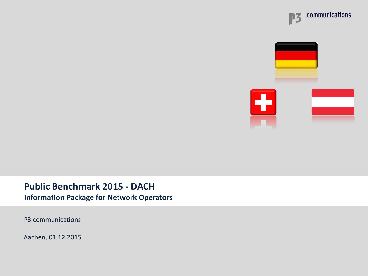





## **Public Benchmark 2015 - DACH**

**Information Package for Network Operators**

P3 communications

Aachen, 01.12.2015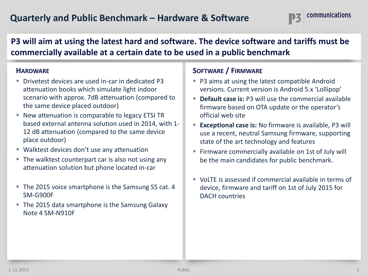### **P3 will aim at using the latest hard and software. The device software and tariffs must be commercially available at a certain date to be used in a public benchmark**

### **HARDWARE**

- Drivetest devices are used in-car in dedicated P3 attenuation books which simulate light indoor scenario with approx. 7dB attenuation (compared to the same device placed outdoor)
- New attenuation is comparable to legacy ETSI TR based external antenna solution used in 2014, with 1- 12 dB attenuation (compared to the same device place outdoor)
- Walktest devices don't use any attenuation
- The walktest counterpart car is also not using any attenuation solution but phone located in-car
- The 2015 voice smartphone is the Samsung S5 cat. 4 SM-G900F
- The 2015 data smartphone is the Samsung Galaxy Note 4 SM-N910F

### **SOFTWARE / FIRMWARE**

- P3 aims at using the latest compatible Android versions. Current version is Android 5.x 'Lollipop'
- **Default case is:** P3 will use the commercial available firmware based on OTA update or the operator's official web site
- **Exceptional case is:** No firmware is available, P3 will use a recent, neutral Samsung firmware, supporting state of the art technology and features
- Firmware commercially available on 1st of July will be the main candidates for public benchmark.
- VoLTE is assessed if commercial available in terms of device, firmware and tariff on 1st of July 2015 for DACH countries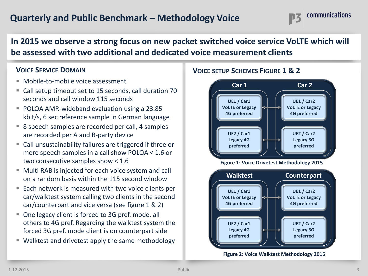## **Quarterly and Public Benchmark – Methodology Voice**



### **In 2015 we observe a strong focus on new packet switched voice service VoLTE which will be assessed with two additional and dedicated voice measurement clients**

### **VOICE SERVICE DOMAIN**

- Mobile-to-mobile voice assessment
- Call setup timeout set to 15 seconds, call duration 70 seconds and call window 115 seconds
- POLQA AMR-wideband evaluation using a 23.85 kbit/s, 6 sec reference sample in German language
- 8 speech samples are recorded per call, 4 samples are recorded per A and B-party device
- Call unsustainability failures are triggered if three or more speech samples in a call show POLQA < 1.6 or two consecutive samples show < 1.6
- Multi RAB is injected for each voice system and call on a random basis within the 115 second window
- Each network is measured with two voice clients per car/walktest system calling two clients in the second car/counterpart and vice versa (see figure 1 & 2)
- One legacy client is forced to 3G pref. mode, all others to 4G pref. Regarding the walktest system the forced 3G pref. mode client is on counterpart side
- Walktest and drivetest apply the same methodology

### **VOICE SETUP SCHEMES FIGURE 1 & 2**



**Figure 2: Voice Walktest Methodology 2015**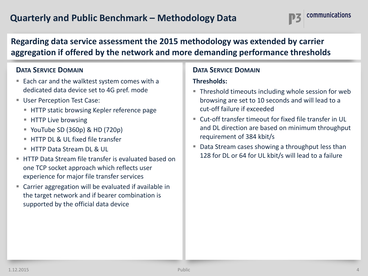## **Quarterly and Public Benchmark – Methodology Data**



### **Regarding data service assessment the 2015 methodology was extended by carrier aggregation if offered by the network and more demanding performance thresholds**

### **DATA SERVICE DOMAIN**

- Each car and the walktest system comes with a dedicated data device set to 4G pref. mode
- **User Perception Test Case:** 
	- HTTP static browsing Kepler reference page
	- **HTTP Live browsing**
	- YouTube SD  $(360p)$  & HD  $(720p)$
	- **HTTP DL & UL fixed file transfer**
	- **HTTP Data Stream DL & UL**
- HTTP Data Stream file transfer is evaluated based on one TCP socket approach which reflects user experience for major file transfer services
- Carrier aggregation will be evaluated if available in the target network and if bearer combination is supported by the official data device

### **DATA SERVICE DOMAIN**

### **Thresholds:**

- Threshold timeouts including whole session for web browsing are set to 10 seconds and will lead to a cut-off failure if exceeded
- Cut-off transfer timeout for fixed file transfer in UL and DL direction are based on minimum throughput requirement of 384 kbit/s
- Data Stream cases showing a throughput less than 128 for DL or 64 for UL kbit/s will lead to a failure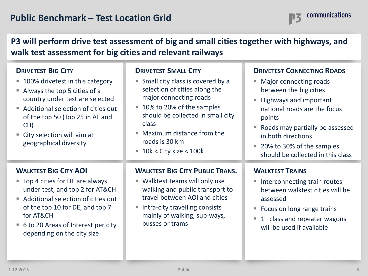### **P3 will perform drive test assessment of big and small cities together with highways, and walk test assessment for big cities and relevant railways**

| <b>DRIVETEST BIG CITY</b><br>100% drivetest in this category<br>Always the top 5 cities of a<br>$\mathcal{L}_{\mathcal{A}}$<br>country under test are selected<br>Additional selection of cities out<br>$\overline{\phantom{a}}$<br>of the top 50 (Top 25 in AT and<br>CH)<br>City selection will aim at<br>geographical diversity | <b>DRIVETEST SMALL CITY</b><br>Small city class is covered by a<br>selection of cities along the<br>major connecting roads<br>10% to 20% of the samples<br>should be collected in small city<br>class<br>Maximum distance from the<br>roads is 30 km<br>$\blacksquare$ 10k < City size < 100k | <b>DRIVETEST CONNECTING ROADS</b><br>Major connecting roads<br>×.<br>between the big cities<br>Highways and important<br>national roads are the focus<br>points<br>Roads may partially be assessed<br>$\mathcal{L}_{\mathcal{A}}$<br>in both directions<br>20% to 30% of the samples<br>$\mathcal{L}_{\mathcal{A}}$<br>should be collected in this class |
|------------------------------------------------------------------------------------------------------------------------------------------------------------------------------------------------------------------------------------------------------------------------------------------------------------------------------------|-----------------------------------------------------------------------------------------------------------------------------------------------------------------------------------------------------------------------------------------------------------------------------------------------|----------------------------------------------------------------------------------------------------------------------------------------------------------------------------------------------------------------------------------------------------------------------------------------------------------------------------------------------------------|
| <b>WALKTEST BIG CITY AOI</b><br>■ Top 4 cities for DE are always<br>under test, and top 2 for AT&CH<br>Additional selection of cities out<br>$\mathcal{L}_{\mathcal{A}}$<br>of the top 10 for DE, and top 7<br>for AT&CH<br>6 to 20 Areas of Interest per city<br>$\blacksquare$<br>depending on the city size                     | <b>WALKTEST BIG CITY PUBLIC TRANS.</b><br>■ Walktest teams will only use<br>walking and public transport to<br>travel between AOI and cities<br>Intra-city travelling consists<br>ш<br>mainly of walking, sub-ways,<br>busses or trams                                                        | <b>WALKTEST TRAINS</b><br>Interconnecting train routes<br>ш<br>between walktest cities will be<br>assessed<br>Focus on long range trains<br>ш<br>$1st$ class and repeater wagons<br>$\blacksquare$<br>will be used if available                                                                                                                          |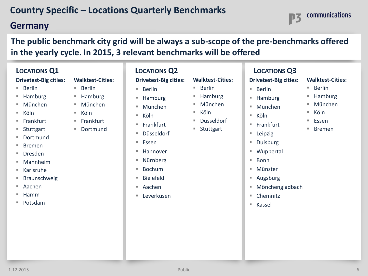## **Germany**

**The public benchmark city grid will be always a sub-scope of the pre-benchmarks offered in the yearly cycle. In 2015, 3 relevant benchmarks will be offered**

| <b>LOCATIONS Q1</b>                                                                                                                                                                                                    |                                                                                                                     | <b>LOCATIONS Q2</b>                                                                                                                                                                                           |                                                                                     | <b>LOCATIONS Q3</b>                                                                                                                                                                            |
|------------------------------------------------------------------------------------------------------------------------------------------------------------------------------------------------------------------------|---------------------------------------------------------------------------------------------------------------------|---------------------------------------------------------------------------------------------------------------------------------------------------------------------------------------------------------------|-------------------------------------------------------------------------------------|------------------------------------------------------------------------------------------------------------------------------------------------------------------------------------------------|
| <b>Drivetest-Big cities:</b>                                                                                                                                                                                           | <b>Walktest-Cities:</b>                                                                                             | <b>Drivetest-Big cities:</b>                                                                                                                                                                                  | <b>Walktest-Cities:</b>                                                             | <b>Drivetest-Big cities</b>                                                                                                                                                                    |
| Berlin<br>Hamburg<br>ш<br>München<br>L.<br>Köln<br>ш<br>■ Frankfurt<br>Stuttgart<br>ш<br>Dortmund<br>ш<br><b>Bremen</b><br>L.<br><b>Dresden</b><br>U.<br>Mannheim<br>L.<br>Karlsruhe<br>U.<br><b>Braunschweig</b><br>ш | <b>Berlin</b><br>ш<br>Hamburg<br>München<br><b>College</b><br>Köln<br>a.<br>Frankfurt<br>Dortmund<br><b>College</b> | Berlin<br>m.<br>Hamburg<br>$\overline{\phantom{a}}$<br>München<br>ш<br>Köln<br>٠<br>Frankfurt<br>ш<br>Düsseldorf<br>ш<br>Essen<br>ш<br>Hannover<br>ш<br>Nürnberg<br>ш<br>Bochum<br>ш<br><b>Bielefeld</b><br>٠ | Berlin<br>ш<br>Hamburg<br>München<br>ш<br>Köln<br>ш<br>Düsseldorf<br>٠<br>Stuttgart | <b>Berlin</b><br>u,<br>Hamburg<br>П<br>München<br>٠<br>Köln<br>I.<br>Frankfurt<br>٠<br>Leipzig<br>×.<br>Duisburg<br>ш<br>Wuppertal<br>×.<br><b>Bonn</b><br>H.<br>Münster<br>ш<br>Augsburg<br>ш |
|                                                                                                                                                                                                                        |                                                                                                                     |                                                                                                                                                                                                               |                                                                                     |                                                                                                                                                                                                |

- Aachen
- $Hamm$
- Potsdam
- Aachen
- **Leverkusen**

#### **Big cities:**

- 
- Hamburg

- **Duisburg**
- tal
- 
- Augsburg
- Mönchengladbach
- Chemnitz
- Kassel



**Walktest-Cities:**

 $Berlin$ ■ Hamburg München

■ Köln  $E$ ssen ■ Bremen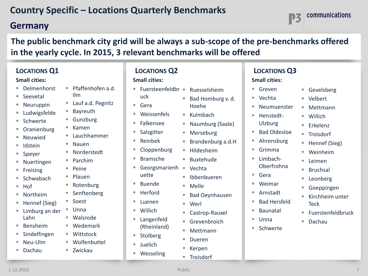### **Germany**

**The public benchmark city grid will be always a sub-scope of the pre-benchmarks offered in the yearly cycle. In 2015, 3 relevant benchmarks will be offered**

■ Wesseling

**Troisdorf** 

communications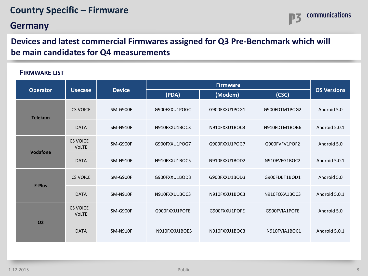## **Country Specific – Firmware**

### **Germany**



### **Devices and latest commercial Firmwares assigned for Q3 Pre-Benchmark which will be main candidates for Q4 measurements**

#### **FIRMWARE LIST**

| <b>Operator</b><br><b>Usecase</b> |                            | <b>Device</b>   | (PDA)         | (Modem)       | (CSC)         | <b>OS Versions</b> |
|-----------------------------------|----------------------------|-----------------|---------------|---------------|---------------|--------------------|
| <b>Telekom</b>                    | CS VOICE                   | SM-G900F        | G900FXXU1POGC | G900FXXU1POG1 | G900FDTM1POG2 | Android 5.0        |
|                                   | <b>DATA</b>                | <b>SM-N910F</b> | N910FXXU1BOC3 | N910FXXU1BOC3 | N910FDTM1BOB6 | Android 5.0.1      |
| <b>Vodafone</b>                   | CS VOICE +<br><b>VoLTE</b> | SM-G900F        | G900FXXU1POG7 | G900FXXU1POG7 | G900FVFV1POF2 | Android 5.0        |
|                                   | <b>DATA</b>                | <b>SM-N910F</b> | N910FXXU1BOC5 | N910FXXU1BOD2 | N910FVFG1BOC2 | Android 5.0.1      |
| <b>E-Plus</b>                     | CS VOICE                   | SM-G900F        | G900FXXU1BOD3 | G900FXXU1BOD3 | G900FDBT1BOD1 | Android 5.0        |
|                                   | <b>DATA</b>                | <b>SM-N910F</b> | N910FXXU1BOC3 | N910FXXU1BOC3 | N910FOXA1BOC3 | Android 5.0.1      |
| <b>O2</b>                         | CS VOICE +<br><b>VoLTE</b> | SM-G900F        | G900FXXU1POFE | G900FXXU1POFE | G900FVIA1POFE | Android 5.0        |
|                                   | <b>DATA</b>                | <b>SM-N910F</b> | N910FXXU1BOE5 | N910FXXU1BOC3 | N910FVIA1BOC1 | Android 5.0.1      |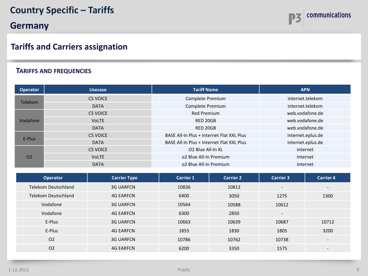## **Country Specific – Tariffs**

**Germany**

### **Tariffs and Carriers assignation**

### **TARIFFS AND FREQUENCIES**

| <b>Operator</b> | <b>Usecase</b>  | <b>Tariff Name</b>                        | <b>APN</b>        |
|-----------------|-----------------|-------------------------------------------|-------------------|
| <b>Telekom</b>  | <b>CS VOICE</b> | Complete Premium                          | internet.telekom  |
|                 | <b>DATA</b>     | Complete Premium                          | internet.telekom  |
|                 | <b>CS VOICE</b> | <b>Red Premium</b>                        | web.vodafone.de   |
| Vodafone        | <b>VoLTE</b>    | RED 20GB                                  | web.vodafone.de   |
|                 | <b>DATA</b>     | RED 20GB                                  | web.vodafone.de   |
| E-Plus          | <b>CS VOICE</b> | BASE All-In Plus + Internet Flat XXL Plus | internet.eplus.de |
|                 | <b>DATA</b>     | BASE All-In Plus + Internet Flat XXL Plus | internet.eplus.de |
|                 | <b>CS VOICE</b> | O2 Blue All-In XL                         | internet          |
| O <sub>2</sub>  | <b>VOLTE</b>    | o2 Blue All-In Premium                    | internet          |
|                 | <b>DATA</b>     | o2 Blue All-In Premium                    | internet          |

| <b>Operator</b>     | <b>Carrier Type</b> | <b>Carrier 1</b> | <b>Carrier 2</b> | <b>Carrier 3</b>             | <b>Carrier 4</b>             |
|---------------------|---------------------|------------------|------------------|------------------------------|------------------------------|
| Telekom Deutschland | <b>3G UARFCN</b>    | 10836            | 10812            | $\overline{\phantom{a}}$     | $\overline{\phantom{a}}$     |
| Telekom Deutschland | <b>4G EARFCN</b>    | 6400             | 3050             | 1275                         | 1300                         |
| Vodafone            | <b>3G UARFCN</b>    | 10564            | 10588            | 10612                        |                              |
| Vodafone            | <b>4G EARFCN</b>    | 6300             | 2850             | $\qquad \qquad \blacksquare$ |                              |
| E-Plus              | <b>3G UARFCN</b>    | 10663            | 10639            | 10687                        | 10712                        |
| E-Plus              | <b>4G EARFCN</b>    | 1855             | 1830             | 1805                         | 3200                         |
| O <sub>2</sub>      | <b>3G UARFCN</b>    | 10786            | 10762            | 10738                        | $\overline{\phantom{a}}$     |
| O <sub>2</sub>      | <b>4G EARFCN</b>    | 6200             | 3350             | 1575                         | $\qquad \qquad \blacksquare$ |

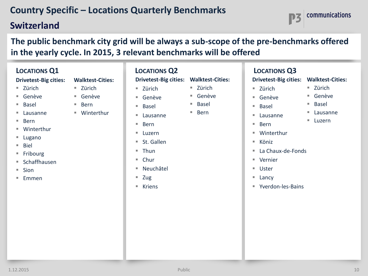## **Switzerland**

**The public benchmark city grid will be always a sub-scope of the pre-benchmarks offered in the yearly cycle. In 2015, 3 relevant benchmarks will be offered**

## **LOCATIONS Q1**

#### **Drivetest-Big cities:**

- $\blacksquare$  Zürich
- Genève
- Basel
- Lausanne
- Bern
- Winterthur
- Lugano
- Biel
- Fribourg
- $S$ Chaffhausen
- $\blacksquare$  Sion
- $E$ mmen
- **Walktest-Cities:**  $\blacksquare$  Zürich
	- Genève
	- $Bern$
	- Winterthur
	- -
- Luzern
	- St. Gallen

Lausanne

■ Zürich ■ Genève Basel

 $\blacksquare$  Thun

■ Bern

- Chur
- Neuchâtel
- $\blacksquare$  Zug
- Kriens
- **Drivetest-Big cities: Walktest-Cities:** ■ Zürich ■ Genève
	- Basel
	- Bern

### **LOCATIONS Q2 LOCATIONS Q3**

 $\blacksquare$  Zürich Genève ■ Basel Lausanne ■ Luzern

communications

- **Drivetest-Big cities: Walktest-Cities:**
- Zürich
- Genève
- Basel
- Lausanne
- Bern
- Winterthur
- Köniz
- La Chaux-de-Fonds
- Vernier
- Uster
- **Lancy**
- Yverdon-les-Bains



- 
-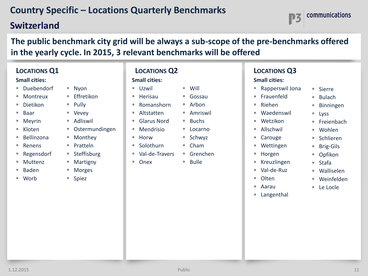## **Switzerland**

**The public benchmark city grid will be always a sub-scope of the pre-benchmarks offered in the yearly cycle. In 2015, 3 relevant benchmarks will be offered**

| <b>LOCATIONS Q1</b><br><b>Small cities:</b>                                                                                                                                |                                                                                                                                                                               | <b>LOCATIONS Q2</b><br><b>Small cities:</b>                                                                                              |                                                                                                                                                  | <b>LOCATIONS Q3</b><br><b>Small cities:</b>                                                                                                                                                                                            |                                                                                                                   |
|----------------------------------------------------------------------------------------------------------------------------------------------------------------------------|-------------------------------------------------------------------------------------------------------------------------------------------------------------------------------|------------------------------------------------------------------------------------------------------------------------------------------|--------------------------------------------------------------------------------------------------------------------------------------------------|----------------------------------------------------------------------------------------------------------------------------------------------------------------------------------------------------------------------------------------|-------------------------------------------------------------------------------------------------------------------|
| ■ Duebendorf<br>Montreux<br><b>College</b><br>Dietikon<br><b>College</b><br>Baar<br><b>College</b><br>Meyrin<br>ш<br>Kloten<br><b>College</b>                              | $N$ yon<br>Effretikon<br>$\mathcal{L}_{\mathcal{A}}$<br>$\blacksquare$ Pully<br>■ Vevey<br>Adliswil<br>$\overline{\phantom{a}}$<br>Ostermundingen<br>$\overline{\phantom{a}}$ | $\mathcal{L}_{\mathcal{A}}$<br>Uzwil<br>Herisau<br>u,<br>Romanshorn<br>ш<br>Altstatten<br>ш<br><b>Glarus Nord</b><br>ш<br>Mendrisio<br>× | Will<br>$\overline{\phantom{a}}$<br>Gossau<br>u.<br>Arbon<br>$\mathcal{L}_{\mathcal{A}}$<br>Amriswil<br>ш<br><b>Buchs</b><br>L.<br>×.<br>Locarno | ■ Rapperswil Jona<br>■ Frauenfeld<br>Riehen<br>$\mathcal{L}_{\mathcal{A}}$<br>Waedenswil<br>$\mathcal{L}_{\mathcal{A}}$<br>Wetzikon<br>ш<br>Allschwil<br>$\mathcal{L}_{\mathcal{A}}$                                                   | ■ Sierre<br>Bulach<br>u.<br>Binningen<br>u,<br>$\blacksquare$ Lyss<br>■ Freienbach<br>■ Wohlen                    |
| Bellinzona<br><b>College</b><br>Renens<br><b>College</b><br>Regensdorf<br>ш<br>Muttenz<br><b>College</b><br>Baden<br>$\mathcal{L}_{\mathcal{A}}$<br>Worb<br><b>College</b> | Monthey<br>ш<br>Pratteln<br>u.<br>■ Steffisburg<br>Martigny<br>ш<br>Morges<br>$\blacksquare$<br>■ Spiez                                                                       | Horw<br>×<br>Solothurn<br>a.<br>Val-de-Travers<br>$\mathcal{L}_{\mathcal{A}}$<br>Onex<br>ш                                               | Schwyz<br>$\overline{\phantom{a}}$<br>Cham<br>ш<br>■ Grenchen<br><b>Bulle</b><br>ш                                                               | Carouge<br>Wettingen<br>$\mathcal{L}_{\mathcal{A}}$<br>Horgen<br>$\mathcal{L}_{\mathcal{A}}$<br>Kreuzlingen<br>$\Box$<br>Val-de-Ruz<br>$\mathcal{L}_{\mathcal{A}}$<br>Olten<br>$\mathcal{L}_{\mathcal{A}}$<br>Aarau<br>ш<br>Langenthal | Schlieren<br>u,<br>■ Brig-Gils<br>■ Opfikon<br>$\blacksquare$ Stafa<br>■ Walliselen<br>■ Weinfelden<br>■ Le Locle |

communications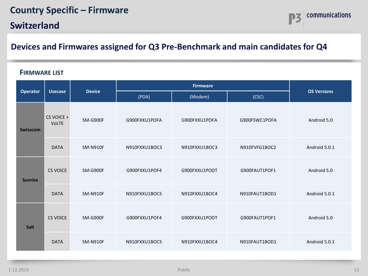## **Country Specific – Firmware**

**Switzerland**



### **Devices and Firmwares assigned for Q3 Pre-Benchmark and main candidates for Q4**

#### **FIRMWARE LIST**

|                 |                            |                 |               | <b>OS Versions</b> |               |               |  |
|-----------------|----------------------------|-----------------|---------------|--------------------|---------------|---------------|--|
| <b>Operator</b> | <b>Usecase</b>             | <b>Device</b>   | (PDA)         | (Modem)            | (CSC)         |               |  |
| <b>Swisscom</b> | CS VOICE +<br><b>VoLTE</b> | SM-G900F        | G900FXXU1POFA | G900FXXU1POFA      | G900FSWC1POFA | Android 5.0   |  |
|                 | <b>DATA</b>                | <b>SM-N910F</b> | N910FXXU1BOC3 | N910FXXU1BOC3      | N910FVFG1BOC2 | Android 5.0.1 |  |
| <b>Sunrise</b>  | <b>CS VOICE</b>            | SM-G900F        | G900FXXU1POF4 | G900FXXU1PODT      | G900FAUT1POF1 | Android 5.0   |  |
|                 | <b>DATA</b>                | <b>SM-N910F</b> | N910FXXU1BOC5 | N910FXXU1BOC4      | N910FAUT1BOD1 | Android 5.0.1 |  |
| Salt            | <b>CS VOICE</b>            | SM-G900F        | G900FXXU1POF4 | G900FXXU1PODT      | G900FAUT1POF1 | Android 5.0   |  |
|                 | <b>DATA</b>                | <b>SM-N910F</b> | N910FXXU1BOC5 | N910FXXU1BOC4      | N910FAUT1BOD1 | Android 5.0.1 |  |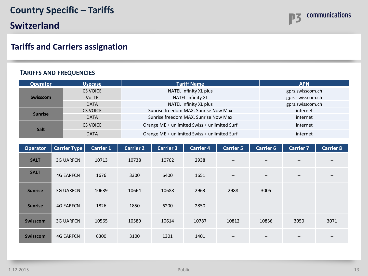

#### **TARIFFS AND FREQUENCIES**

| <b>Operator</b> | <b>Usecase</b>  | <b>Tariff Name</b>                           | <b>APN</b>       |
|-----------------|-----------------|----------------------------------------------|------------------|
| <b>Swisscom</b> | <b>CS VOICE</b> | NATEL Infinity XL plus                       | gprs.swisscom.ch |
|                 | <b>VoLTE</b>    | <b>NATEL Infinity XL</b>                     | gprs.swisscom.ch |
|                 | <b>DATA</b>     | NATEL Infinity XL plus                       | gprs.swisscom.ch |
| <b>Sunrise</b>  | CS VOICE        | Sunrise freedom MAX, Sunrise Now Max         | internet         |
|                 | <b>DATA</b>     | Sunrise freedom MAX, Sunrise Now Max         | internet         |
| <b>Salt</b>     | CS VOICE        | Orange ME + unlimited Swiss + unlimited Surf | internet         |
|                 | <b>DATA</b>     | Orange ME + unlimited Swiss + unlimited Surf | internet         |

| <b>Operator</b> | <b>Carrier Type</b> | <b>Carrier 1</b> | <b>Carrier 2</b> | <b>Carrier 3</b> | <b>Carrier 4</b> | <b>Carrier 5</b>                                    | <b>Carrier 6</b>                      | <b>Carrier 7</b>              | <b>Carrier 8</b>              |
|-----------------|---------------------|------------------|------------------|------------------|------------------|-----------------------------------------------------|---------------------------------------|-------------------------------|-------------------------------|
| <b>SALT</b>     | <b>3G UARFCN</b>    | 10713            | 10738            | 10762            | 2938             | $\hspace{0.05cm} \textbf{--}$                       | $\hspace{0.05cm} \textbf{--}$         | $\hspace{0.05cm} \textbf{--}$ | $\hspace{0.05cm} \textbf{--}$ |
| <b>SALT</b>     | <b>4G EARFCN</b>    | 1676             | 3300             | 6400             | 1651             | $\hspace{0.05cm} \dashv$                            | $\hspace{0.05cm}$ – $\hspace{0.05cm}$ | $\hspace{0.05cm} \textbf{--}$ | $\hspace{0.05cm} \textbf{--}$ |
| <b>Sunrise</b>  | <b>3G UARFCN</b>    | 10639            | 10664            | 10688            | 2963             | 2988                                                | 3005                                  | $\hspace{0.05cm} \textbf{--}$ | $\hspace{0.05cm} \textbf{--}$ |
| <b>Sunrise</b>  | <b>4G EARFCN</b>    | 1826             | 1850             | 6200             | 2850             | $\hspace{0.05cm} -\hspace{0.05cm} -\hspace{0.05cm}$ | $\hspace{0.05cm} \textbf{--}$         | $\hspace{0.05cm} \textbf{--}$ | $\hspace{0.05cm} \textbf{--}$ |
| <b>Swisscom</b> | <b>3G UARFCN</b>    | 10565            | 10589            | 10614            | 10787            | 10812                                               | 10836                                 | 3050                          | 3071                          |
| <b>Swisscom</b> | <b>4G EARFCN</b>    | 6300             | 3100             | 1301             | 1401             | $\hspace{0.05cm} \cdots$                            | $\hspace{0.05cm} \textbf{--}$         | $\hspace{0.05cm} \textbf{--}$ | --                            |

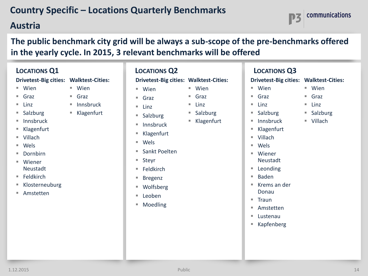### **Austria**

**The public benchmark city grid will be always a sub-scope of the pre-benchmarks offered in the yearly cycle. In 2015, 3 relevant benchmarks will be offered**

| <b>LOCATIONS Q1</b>          | <b>LOCATIONS Q2</b>     |                              |
|------------------------------|-------------------------|------------------------------|
| <b>Drivetest-Big cities:</b> | <b>Walktest-Cities:</b> | <b>Drivetest-Big cities:</b> |
| Wien<br>L.                   | Wien<br>٠               | Wien<br>٠                    |
| Graz<br>L.                   | Graz<br>٠               | Graz<br>٠                    |
| Linz<br>L.                   | Innsbruck<br>ш          | Linz<br>٠                    |
| Salzburg<br>L.               | Klagenfurt<br>п         | Salzburg<br>٠                |
| Innsbruck<br>L.              |                         | Innsbruck<br>٠               |
| Klagenfurt<br>E              |                         | Klagenfurt                   |
| Villach<br>L.                |                         |                              |
| Wels<br>L.                   |                         | Wels<br>٠                    |
| Dornbirn<br>L.               |                         | Sankt Poelten<br>٠           |
| ٠<br>Wiener                  |                         | Steyr<br>ш                   |
| Neustadt                     |                         | Feldkirch<br>٠               |
| Feldkirch<br>I.              |                         | <b>Bregenz</b><br>ш          |
| Klosterneuburg<br>E          |                         | Wolfsberg                    |
| Amstetten<br>L.              |                         | Leoben<br>٠                  |
|                              |                         | Moedling<br>٠                |
|                              |                         |                              |

| <b>CATIONS Q2</b>                   |                 | <u>Lc</u>   |
|-------------------------------------|-----------------|-------------|
| vetest-Big cities: Walktest-Cities: |                 | <b>Driv</b> |
| Wien                                | Wien            |             |
| Graz                                | Graz<br>٠       | ш<br>(      |
| Linz                                | Linz<br>٠       | ٠<br>l      |
| Salzburg                            | Salzburg<br>ш   | ŗ<br>п      |
| Innsbruck                           | Klagenfurt<br>ш | п           |
| Klagenfurt                          |                 | ш<br>ł      |
| Wels                                |                 | ш<br>ш      |
| Sankt Poelten                       |                 | ш           |
| Steyr                               |                 | I           |
| Feldkirch                           |                 | ш           |
| Bregenz                             |                 | п           |
| Wolfsberg                           |                 | ш           |
| Leoben                              |                 |             |
| Moedling                            |                 | ш<br>×.     |
|                                     |                 | п           |
|                                     |                 | п<br>ł      |
|                                     |                 |             |
|                                     |                 |             |
|                                     |                 |             |

### **LOCATIONS Q2 LOCATIONS Q3**

**Drivetest-Big cities: Walktest-Cities:**

- Wien
- Graz Linz
- Salzburg
- Innsbruck
- Klagenfurt
- Villach
- Wels
- Wiener
- Neustadt
- Leonding
- Baden
- Krems an der Donau
- Traun
- Amstetten
- Lustenau
- Kapfenberg
- Wien ■ Graz
	- $\blacksquare$  Linz
	- Salzburg

communications

Villach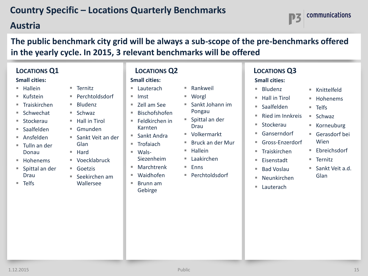## **Austria**

communications

**The public benchmark city grid will be always a sub-scope of the pre-benchmarks offered in the yearly cycle. In 2015, 3 relevant benchmarks will be offered**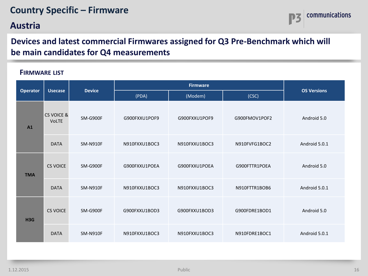## **Country Specific – Firmware**

### **Austria**



### **Devices and latest commercial Firmwares assigned for Q3 Pre-Benchmark which will be main candidates for Q4 measurements**

### **FIRMWARE LIST**

| <b>Operator</b> | <b>Usecase</b>                        | <b>Device</b>   | Firmware      |               |               |                    |
|-----------------|---------------------------------------|-----------------|---------------|---------------|---------------|--------------------|
|                 |                                       |                 | (PDA)         | (Modem)       | (CSC)         | <b>OS Versions</b> |
| A1              | <b>CS VOICE &amp;</b><br><b>VoLTE</b> | SM-G900F        | G900FXXU1POF9 | G900FXXU1POF9 | G900FMOV1POF2 | Android 5.0        |
|                 | <b>DATA</b>                           | <b>SM-N910F</b> | N910FXXU1BOC3 | N910FXXU1BOC3 | N910FVFG1BOC2 | Android 5.0.1      |
| <b>TMA</b>      | <b>CS VOICE</b>                       | SM-G900F        | G900FXXU1POEA | G900FXXU1POEA | G900FTTR1POEA | Android 5.0        |
|                 | <b>DATA</b>                           | <b>SM-N910F</b> | N910FXXU1BOC3 | N910FXXU1BOC3 | N910FTTR1BOB6 | Android 5.0.1      |
| H3G             | CS VOICE                              | SM-G900F        | G900FXXU1BOD3 | G900FXXU1BOD3 | G900FDRE1BOD1 | Android 5.0        |
|                 | <b>DATA</b>                           | <b>SM-N910F</b> | N910FXXU1BOC3 | N910FXXU1BOC3 | N910FDRE1BOC1 | Android 5.0.1      |